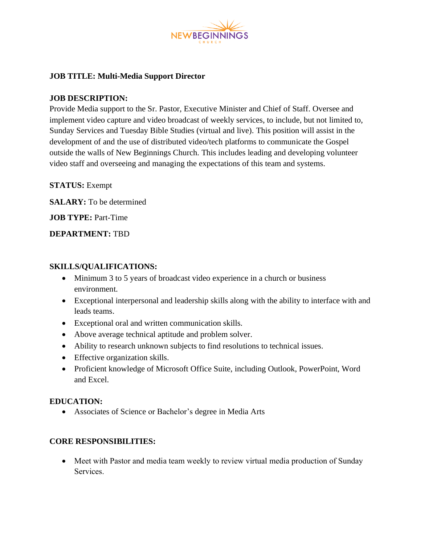

# **JOB TITLE: Multi-Media Support Director**

### **JOB DESCRIPTION:**

Provide Media support to the Sr. Pastor, Executive Minister and Chief of Staff. Oversee and implement video capture and video broadcast of weekly services, to include, but not limited to, Sunday Services and Tuesday Bible Studies (virtual and live). This position will assist in the development of and the use of distributed video/tech platforms to communicate the Gospel outside the walls of New Beginnings Church. This includes leading and developing volunteer video staff and overseeing and managing the expectations of this team and systems.

**STATUS:** Exempt

**SALARY:** To be determined

**JOB TYPE:** Part-Time

#### **DEPARTMENT:** TBD

#### **SKILLS/QUALIFICATIONS:**

- Minimum 3 to 5 years of broadcast video experience in a church or business environment.
- Exceptional interpersonal and leadership skills along with the ability to interface with and leads teams.
- Exceptional oral and written communication skills.
- Above average technical aptitude and problem solver.
- Ability to research unknown subjects to find resolutions to technical issues.
- Effective organization skills.
- Proficient knowledge of Microsoft Office Suite, including Outlook, PowerPoint, Word and Excel.

#### **EDUCATION:**

• Associates of Science or Bachelor's degree in Media Arts

# **CORE RESPONSIBILITIES:**

• Meet with Pastor and media team weekly to review virtual media production of Sunday Services.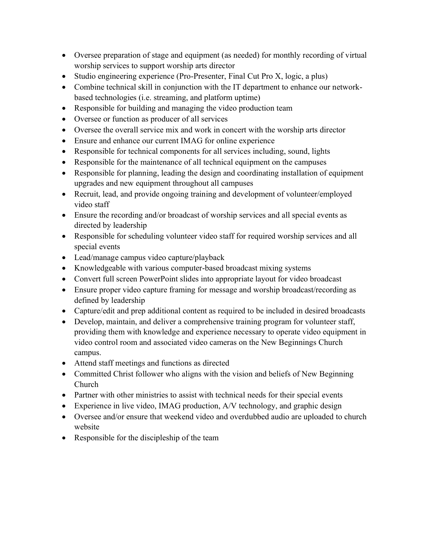- Oversee preparation of stage and equipment (as needed) for monthly recording of virtual worship services to support worship arts director
- Studio engineering experience (Pro-Presenter, Final Cut Pro X, logic, a plus)
- Combine technical skill in conjunction with the IT department to enhance our networkbased technologies (i.e. streaming, and platform uptime)
- Responsible for building and managing the video production team
- Oversee or function as producer of all services
- Oversee the overall service mix and work in concert with the worship arts director
- Ensure and enhance our current IMAG for online experience
- Responsible for technical components for all services including, sound, lights
- Responsible for the maintenance of all technical equipment on the campuses
- Responsible for planning, leading the design and coordinating installation of equipment upgrades and new equipment throughout all campuses
- Recruit, lead, and provide ongoing training and development of volunteer/employed video staff
- Ensure the recording and/or broadcast of worship services and all special events as directed by leadership
- Responsible for scheduling volunteer video staff for required worship services and all special events
- Lead/manage campus video capture/playback
- Knowledgeable with various computer-based broadcast mixing systems
- Convert full screen PowerPoint slides into appropriate layout for video broadcast
- Ensure proper video capture framing for message and worship broadcast/recording as defined by leadership
- Capture/edit and prep additional content as required to be included in desired broadcasts
- Develop, maintain, and deliver a comprehensive training program for volunteer staff, providing them with knowledge and experience necessary to operate video equipment in video control room and associated video cameras on the New Beginnings Church campus.
- Attend staff meetings and functions as directed
- Committed Christ follower who aligns with the vision and beliefs of New Beginning Church
- Partner with other ministries to assist with technical needs for their special events
- Experience in live video, IMAG production, A/V technology, and graphic design
- Oversee and/or ensure that weekend video and overdubbed audio are uploaded to church website
- Responsible for the discipleship of the team